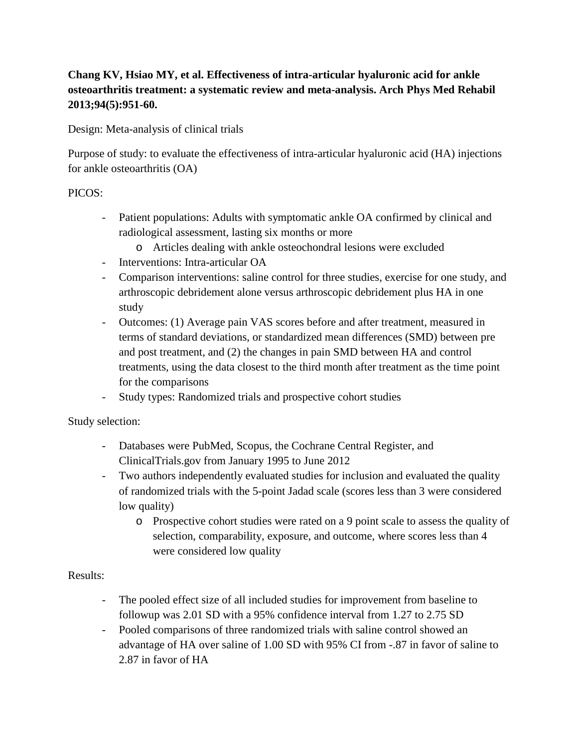## **Chang KV, Hsiao MY, et al. Effectiveness of intra-articular hyaluronic acid for ankle osteoarthritis treatment: a systematic review and meta-analysis. Arch Phys Med Rehabil 2013;94(5):951-60.**

Design: Meta-analysis of clinical trials

Purpose of study: to evaluate the effectiveness of intra-articular hyaluronic acid (HA) injections for ankle osteoarthritis (OA)

## PICOS:

- Patient populations: Adults with symptomatic ankle OA confirmed by clinical and radiological assessment, lasting six months or more
	- o Articles dealing with ankle osteochondral lesions were excluded
- Interventions: Intra-articular OA
- Comparison interventions: saline control for three studies, exercise for one study, and arthroscopic debridement alone versus arthroscopic debridement plus HA in one study
- Outcomes: (1) Average pain VAS scores before and after treatment, measured in terms of standard deviations, or standardized mean differences (SMD) between pre and post treatment, and (2) the changes in pain SMD between HA and control treatments, using the data closest to the third month after treatment as the time point for the comparisons
- Study types: Randomized trials and prospective cohort studies

Study selection:

- Databases were PubMed, Scopus, the Cochrane Central Register, and ClinicalTrials.gov from January 1995 to June 2012
- Two authors independently evaluated studies for inclusion and evaluated the quality of randomized trials with the 5-point Jadad scale (scores less than 3 were considered low quality)
	- o Prospective cohort studies were rated on a 9 point scale to assess the quality of selection, comparability, exposure, and outcome, where scores less than 4 were considered low quality

## Results:

- The pooled effect size of all included studies for improvement from baseline to followup was 2.01 SD with a 95% confidence interval from 1.27 to 2.75 SD
- Pooled comparisons of three randomized trials with saline control showed an advantage of HA over saline of 1.00 SD with 95% CI from -.87 in favor of saline to 2.87 in favor of HA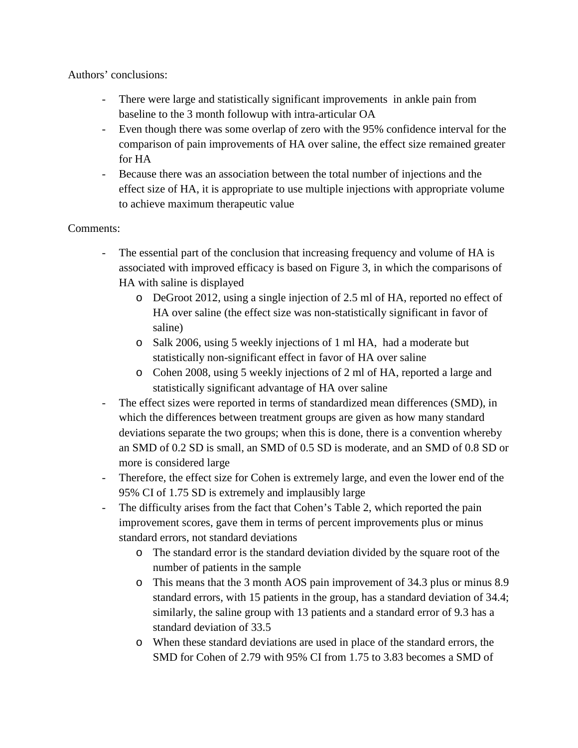Authors' conclusions:

- There were large and statistically significant improvements in ankle pain from baseline to the 3 month followup with intra-articular OA
- Even though there was some overlap of zero with the 95% confidence interval for the comparison of pain improvements of HA over saline, the effect size remained greater for HA
- Because there was an association between the total number of injections and the effect size of HA, it is appropriate to use multiple injections with appropriate volume to achieve maximum therapeutic value

## Comments:

- The essential part of the conclusion that increasing frequency and volume of HA is associated with improved efficacy is based on Figure 3, in which the comparisons of HA with saline is displayed
	- o DeGroot 2012, using a single injection of 2.5 ml of HA, reported no effect of HA over saline (the effect size was non-statistically significant in favor of saline)
	- o Salk 2006, using 5 weekly injections of 1 ml HA, had a moderate but statistically non-significant effect in favor of HA over saline
	- o Cohen 2008, using 5 weekly injections of 2 ml of HA, reported a large and statistically significant advantage of HA over saline
- The effect sizes were reported in terms of standardized mean differences (SMD), in which the differences between treatment groups are given as how many standard deviations separate the two groups; when this is done, there is a convention whereby an SMD of 0.2 SD is small, an SMD of 0.5 SD is moderate, and an SMD of 0.8 SD or more is considered large
- Therefore, the effect size for Cohen is extremely large, and even the lower end of the 95% CI of 1.75 SD is extremely and implausibly large
- The difficulty arises from the fact that Cohen's Table 2, which reported the pain improvement scores, gave them in terms of percent improvements plus or minus standard errors, not standard deviations
	- o The standard error is the standard deviation divided by the square root of the number of patients in the sample
	- o This means that the 3 month AOS pain improvement of 34.3 plus or minus 8.9 standard errors, with 15 patients in the group, has a standard deviation of 34.4; similarly, the saline group with 13 patients and a standard error of 9.3 has a standard deviation of 33.5
	- o When these standard deviations are used in place of the standard errors, the SMD for Cohen of 2.79 with 95% CI from 1.75 to 3.83 becomes a SMD of